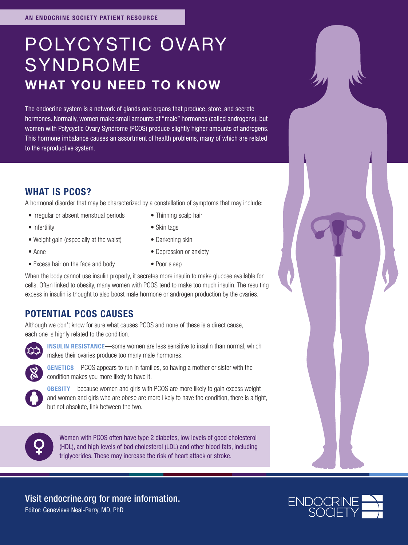# POLYCYSTIC OVARY SYNDROME WHAT YOU NEED TO KNOW

The endocrine system is a network of glands and organs that produce, store, and secrete hormones. Normally, women make small amounts of "male" hormones (called androgens), but women with Polycystic Ovary Syndrome (PCOS) produce slightly higher amounts of androgens. This hormone imbalance causes an assortment of health problems, many of which are related to the reproductive system.

## WHAT IS PCOS?

A hormonal disorder that may be characterized by a constellation of symptoms that may include:

- Irregular or absent menstrual periods
- Infertility
- Weight gain (especially at the waist)
- Acne
- Excess hair on the face and body
- Thinning scalp hair
- Skin tags
- Darkening skin
- Depression or anxiety
- Poor sleep

When the body cannot use insulin properly, it secretes more insulin to make glucose available for cells. Often linked to obesity, many women with PCOS tend to make too much insulin. The resulting excess in insulin is thought to also boost male hormone or androgen production by the ovaries.

## POTENTIAL PCOS CAUSES

Although we don't know for sure what causes PCOS and none of these is a direct cause, each one is highly related to the condition.



INSULIN RESISTANCE—some women are less sensitive to insulin than normal, which makes their ovaries produce too many male hormones.



GENETICS—PCOS appears to run in families, so having a mother or sister with the condition makes you more likely to have it.

OBESITY—because women and girls with PCOS are more likely to gain excess weight and women and girls who are obese are more likely to have the condition, there is a tight, but not absolute, link between the two.



Women with PCOS often have type 2 diabetes, low levels of good cholesterol (HDL), and high levels of bad cholesterol (LDL) and other blood fats, including triglycerides. These may increase the risk of heart attack or stroke.

# Visit endocrine.org for more information.

Editor: Genevieve Neal-Perry, MD, PhD